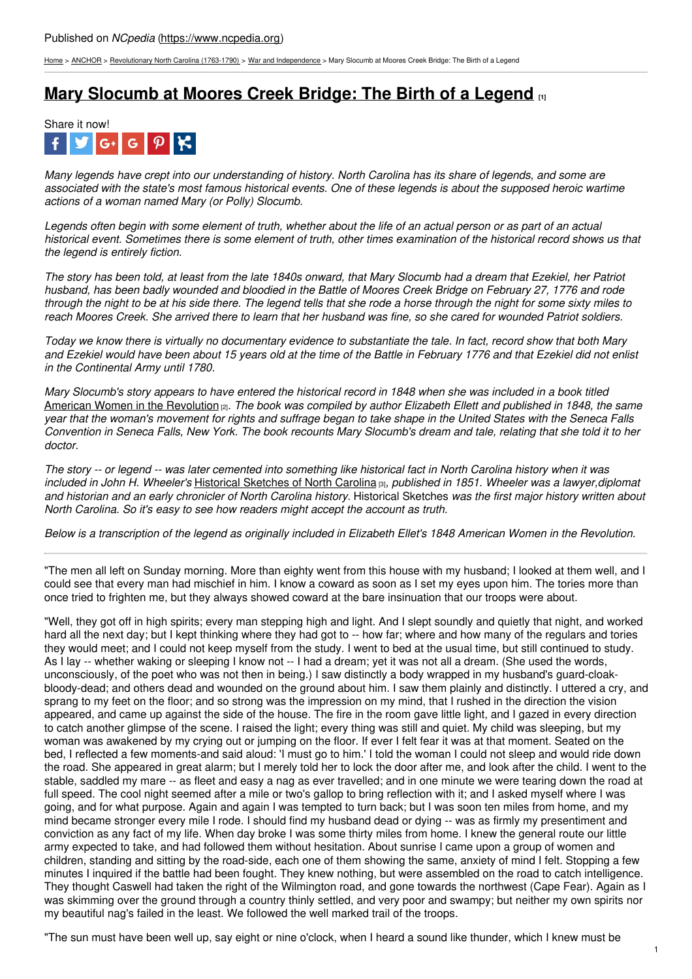[Home](https://www.ncpedia.org/) > [ANCHOR](https://www.ncpedia.org/anchor/anchor) > [Revolutionary](https://www.ncpedia.org/anchor/revolutionary-north-carolina) North Carolina (1763-1790) > War and [Independence](https://www.ncpedia.org/anchor/war-and-independence) > Mary Slocumb at Moores Creek Bridge: The Birth of a Legend

## **Mary [Slocumb](https://www.ncpedia.org/anchor/mary-slocumb-moores-creek) at Moores Creek Bridge: The Birth of a Legend [1]**



Many legends have crept into our understanding of history. North Carolina has its share of legends, and some are associated with the state's most famous historical events. One of these legends is about the supposed heroic wartime *actions of a woman named Mary (or Polly) Slocumb.*

Legends often begin with some element of truth, whether about the life of an actual person or as part of an actual historical event. Sometimes there is some element of truth, other times examination of the historical record shows us that *the legend is entirely fiction.*

The story has been told, at least from the late 1840s onward, that Mary Slocumb had a dream that Ezekiel, her Patriot husband, has been badly wounded and bloodied in the Battle of Moores Creek Bridge on February 27, 1776 and rode through the night to be at his side there. The [legend](http://www.social9.com) tells that she rode a horse through the night for some sixty miles to reach Moores Creek. She arrived there to learn that her husband was fine, so she cared for wounded Patriot soldiers.

Today we know there is virtually no documentary evidence to substantiate the tale. In fact, record show that both Mary and Ezekiel would have been about 15 years old at the time of the Battle in February 1776 and that Ezekiel did not enlist *in the Continental Army until 1780.*

Mary Slocumb's story appears to have entered the historical record in 1848 when she was included in a book titled American Women in the [Revolution](https://archive.org/details/womenofamerican00elle) [2]*. The book was compiled by author Elizabeth Ellett and published in 1848, the same* year that the woman's movement for rights and suffrage began to take shape in the United States with the Seneca Falls Convention in Seneca Falls, New York. The book recounts Mary Slocumb's dream and tale, relating that she told it to her *doctor.*

The story -- or legend -- was later cemented into something like historical fact in North Carolina history when it was *included in John H. Wheeler's* Historical [Sketches](https://archive.org/details/historicalsketch00whee/page/458/mode/2up?view=theater&q=slocumb) of North Carolina [3]*, published in 1851. Wheeler was a lawyer,diplomat* and historian and an early chronicler of North Carolina history. Historical Sketches was the first major history written about *North Carolina. So it's easy to see how readers might accept the account as truth.*

Below is a transcription of the legend as originally included in Elizabeth Ellet's 1848 American Women in the Revolution.

"The men all left on Sunday morning. More than eighty went from this house with my husband; I looked at them well, and I could see that every man had mischief in him. I know a coward as soon as I set my eyes upon him. The tories more than once tried to frighten me, but they always showed coward at the bare insinuation that our troops were about.

"Well, they got off in high spirits; every man stepping high and light. And I slept soundly and quietly that night, and worked hard all the next day; but I kept thinking where they had got to -- how far; where and how many of the regulars and tories they would meet; and I could not keep myself from the study. I went to bed at the usual time, but still continued to study. As I lay -- whether waking or sleeping I know not -- I had a dream; yet it was not all a dream. (She used the words, unconsciously, of the poet who was not then in being.) I saw distinctly a body wrapped in my husband's guard-cloakbloody-dead; and others dead and wounded on the ground about him. I saw them plainly and distinctly. I uttered a cry, and sprang to my feet on the floor; and so strong was the impression on my mind, that I rushed in the direction the vision appeared, and came up against the side of the house. The fire in the room gave little light, and I gazed in every direction to catch another glimpse of the scene. I raised the light; every thing was still and quiet. My child was sleeping, but my woman was awakened by my crying out or jumping on the floor. If ever I felt fear it was at that moment. Seated on the bed, I reflected a few moments-and said aloud: 'I must go to him.' I told the woman I could not sleep and would ride down the road. She appeared in great alarm; but I merely told her to lock the door after me, and look after the child. I went to the stable, saddled my mare -- as fleet and easy a nag as ever travelled; and in one minute we were tearing down the road at full speed. The cool night seemed after a mile or two's gallop to bring reflection with it; and I asked myself where I was going, and for what purpose. Again and again I was tempted to turn back; but I was soon ten miles from home, and my mind became stronger every mile I rode. I should find my husband dead or dying -- was as firmly my presentiment and conviction as any fact of my life. When day broke I was some thirty miles from home. I knew the general route our little army expected to take, and had followed them without hesitation. About sunrise I came upon a group of women and children, standing and sitting by the road-side, each one of them showing the same, anxiety of mind I felt. Stopping a few minutes I inquired if the battle had been fought. They knew nothing, but were assembled on the road to catch intelligence. They thought Caswell had taken the right of the Wilmington road, and gone towards the northwest (Cape Fear). Again as I was skimming over the ground through a country thinly settled, and very poor and swampy; but neither my own spirits nor my beautiful nag's failed in the least. We followed the well marked trail of the troops.

"The sun must have been well up, say eight or nine o'clock, when I heard a sound like thunder, which I knew must be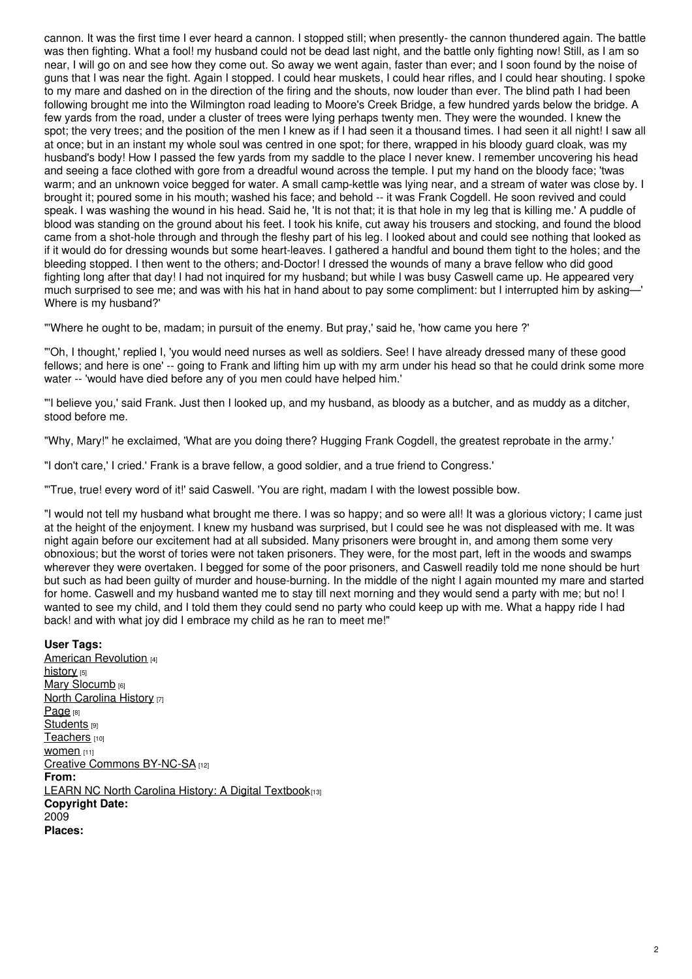cannon. It was the first time I ever heard a cannon. I stopped still; when presently- the cannon thundered again. The battle was then fighting. What a fool! my husband could not be dead last night, and the battle only fighting now! Still, as I am so near, I will go on and see how they come out. So away we went again, faster than ever; and I soon found by the noise of guns that I was near the fight. Again I stopped. I could hear muskets, I could hear rifles, and I could hear shouting. I spoke to my mare and dashed on in the direction of the firing and the shouts, now louder than ever. The blind path I had been following brought me into the Wilmington road leading to Moore's Creek Bridge, a few hundred yards below the bridge. A few yards from the road, under a cluster of trees were lying perhaps twenty men. They were the wounded. I knew the spot; the very trees; and the position of the men I knew as if I had seen it a thousand times. I had seen it all night! I saw all at once; but in an instant my whole soul was centred in one spot; for there, wrapped in his bloody guard cloak, was my husband's body! How I passed the few yards from my saddle to the place I never knew. I remember uncovering his head and seeing a face clothed with gore from a dreadful wound across the temple. I put my hand on the bloody face; 'twas warm; and an unknown voice begged for water. A small camp-kettle was lying near, and a stream of water was close by. I brought it; poured some in his mouth; washed his face; and behold -- it was Frank Cogdell. He soon revived and could speak. I was washing the wound in his head. Said he, 'It is not that; it is that hole in my leg that is killing me.' A puddle of blood was standing on the ground about his feet. I took his knife, cut away his trousers and stocking, and found the blood came from a shot-hole through and through the fleshy part of his leg. I looked about and could see nothing that looked as if it would do for dressing wounds but some heart-leaves. I gathered a handful and bound them tight to the holes; and the bleeding stopped. I then went to the others; and-Doctor! I dressed the wounds of many a brave fellow who did good fighting long after that day! I had not inquired for my husband; but while I was busy Caswell came up. He appeared very much surprised to see me; and was with his hat in hand about to pay some compliment: but I interrupted him by asking—' Where is my husband?'

"'Where he ought to be, madam; in pursuit of the enemy. But pray,' said he, 'how came you here ?'

"'Oh, I thought,' replied I, 'you would need nurses as well as soldiers. See! I have already dressed many of these good fellows; and here is one' -- going to Frank and lifting him up with my arm under his head so that he could drink some more water -- 'would have died before any of you men could have helped him.'

"'I believe you,' said Frank. Just then I looked up, and my husband, as bloody as a butcher, and as muddy as a ditcher, stood before me.

"Why, Mary!" he exclaimed, 'What are you doing there? Hugging Frank Cogdell, the greatest reprobate in the army.'

"I don't care,' I cried.' Frank is a brave fellow, a good soldier, and a true friend to Congress.'

"'True, true! every word of it!' said Caswell. 'You are right, madam I with the lowest possible bow.

"I would not tell my husband what brought me there. I was so happy; and so were all! It was a glorious victory; I came just at the height of the enjoyment. I knew my husband was surprised, but I could see he was not displeased with me. It was night again before our excitement had at all subsided. Many prisoners were brought in, and among them some very obnoxious; but the worst of tories were not taken prisoners. They were, for the most part, left in the woods and swamps wherever they were overtaken. I begged for some of the poor prisoners, and Caswell readily told me none should be hurt but such as had been guilty of murder and house-burning. In the middle of the night I again mounted my mare and started for home. Caswell and my husband wanted me to stay till next morning and they would send a party with me; but no! I wanted to see my child, and I told them they could send no party who could keep up with me. What a happy ride I had back! and with what joy did I embrace my child as he ran to meet me!"

#### **User Tags:**

American [Revolution](https://www.ncpedia.org/category/user-tags/american) [4] [history](https://www.ncpedia.org/category/user-tags/history) [5] Mary [Slocumb](https://www.ncpedia.org/category/user-tags/mary-slocumb) [6] North [Carolina](https://www.ncpedia.org/category/user-tags/north-carolina-6) History [7] [Page](https://www.ncpedia.org/category/user-tags/page) [8] [Students](https://www.ncpedia.org/category/user-tags/students) [9] [Teachers](https://www.ncpedia.org/category/user-tags/teachers) [10] **[women](https://www.ncpedia.org/category/user-tags/women)** [11] Creative Commons [BY-NC-SA](https://www.ncpedia.org/category/user-tags/creative-commons) [12] **From:** LEARN NC North Carolina History: A Digital [Textbook](https://www.ncpedia.org/category/entry-source/learn-nc)[13] **Copyright Date:** 2009 **Places:**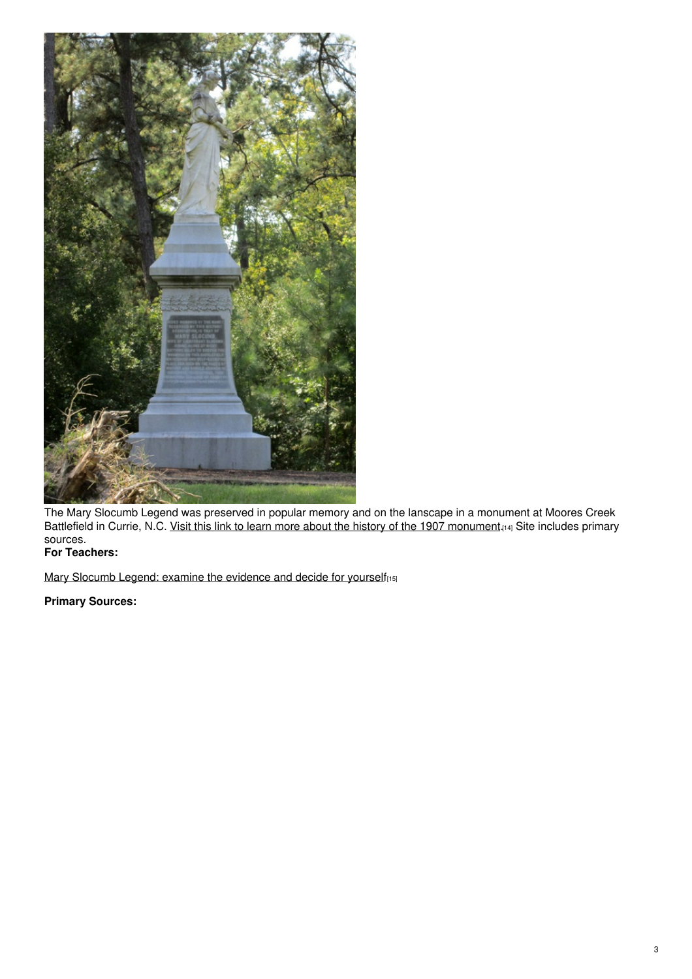

The Mary Slocumb Legend was preserved in popular memory and on the lanscape in a monument at Moores Creek Battlefield in Currie, N.C. <u>Visit this link to learn more about the history of the 1907 [monument](https://docsouth.unc.edu/commland/monument/305/).[14]</u> Site includes primary sources.

## **For Teachers:**

Mary Slocumb Legend: examine the [evidence](https://www.ncmuseumofhistory.org/session-3-supplementary-readings#Mary Slocumb) and decide for yourself<sub>[15]</sub>

### **Primary Sources:**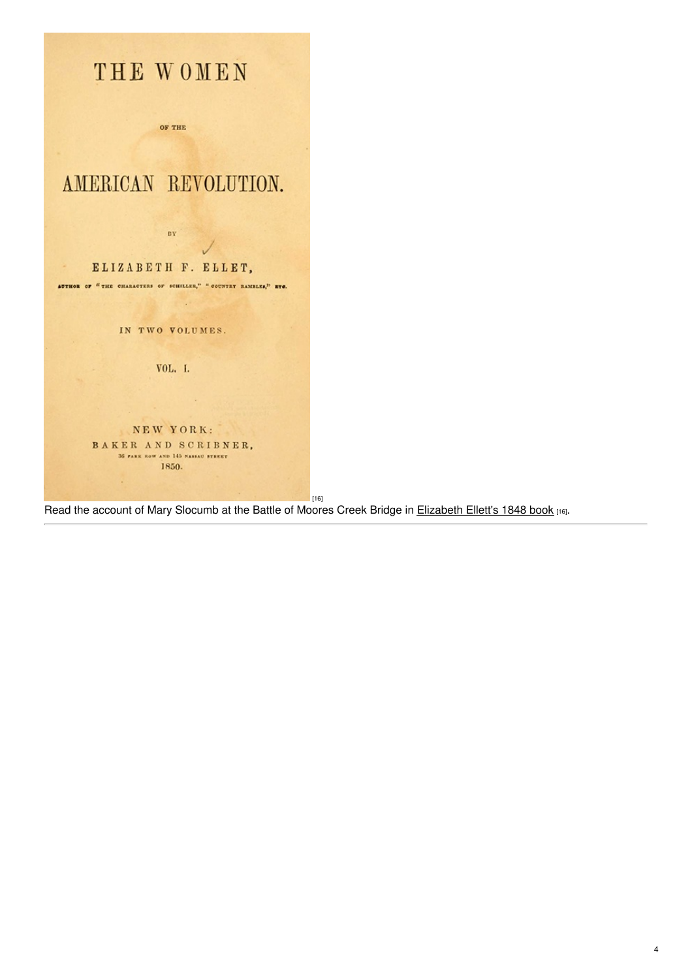

Read the account of Mary Slocumb at the Battle of Moores Creek Bridge in [Elizabeth](https://archive.org/details/womenofamerican00elle/page/n7/mode/2up?view=theater) Ellett's 1848 book [16].